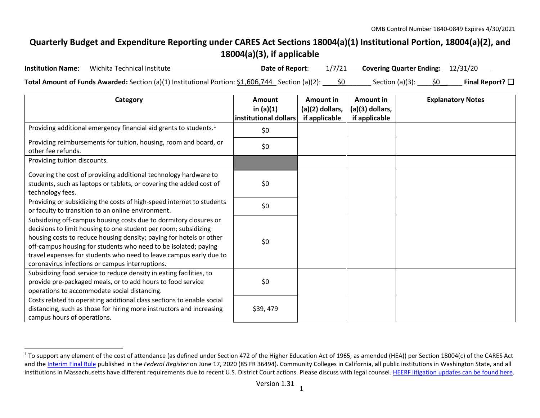## <span id="page-0-0"></span>**Quarterly Budget and Expenditure Reporting under CARES Act Sections 18004(a)(1) Institutional Portion, 18004(a)(2), and 18004(a)(3), if applicable**

| <b>Institution Name:</b> | Wichita Technical Institute                                                                            |  | Date of Report: 1/7/21 Covering Quarter Ending: 12/31/20 |                         |
|--------------------------|--------------------------------------------------------------------------------------------------------|--|----------------------------------------------------------|-------------------------|
|                          | Total Amount of Funds Awarded: Section (a)(1) Institutional Portion: $$1,606,744$ Section (a)(2): $\_$ |  | Section (a)(3): $$0$                                     | Final Report? $\square$ |

| Category                                                                                                                                                                                                                                                                                                                                                                                                | Amount<br>in $(a)(1)$<br>institutional dollars | <b>Amount in</b><br>(a)(2) dollars,<br>if applicable | Amount in<br>(a)(3) dollars,<br>if applicable | <b>Explanatory Notes</b> |
|---------------------------------------------------------------------------------------------------------------------------------------------------------------------------------------------------------------------------------------------------------------------------------------------------------------------------------------------------------------------------------------------------------|------------------------------------------------|------------------------------------------------------|-----------------------------------------------|--------------------------|
| Providing additional emergency financial aid grants to students. <sup>1</sup>                                                                                                                                                                                                                                                                                                                           | \$0                                            |                                                      |                                               |                          |
| Providing reimbursements for tuition, housing, room and board, or<br>other fee refunds.                                                                                                                                                                                                                                                                                                                 | \$0                                            |                                                      |                                               |                          |
| Providing tuition discounts.                                                                                                                                                                                                                                                                                                                                                                            |                                                |                                                      |                                               |                          |
| Covering the cost of providing additional technology hardware to<br>students, such as laptops or tablets, or covering the added cost of<br>technology fees.                                                                                                                                                                                                                                             | \$0                                            |                                                      |                                               |                          |
| Providing or subsidizing the costs of high-speed internet to students<br>or faculty to transition to an online environment.                                                                                                                                                                                                                                                                             | \$0                                            |                                                      |                                               |                          |
| Subsidizing off-campus housing costs due to dormitory closures or<br>decisions to limit housing to one student per room; subsidizing<br>housing costs to reduce housing density; paying for hotels or other<br>off-campus housing for students who need to be isolated; paying<br>travel expenses for students who need to leave campus early due to<br>coronavirus infections or campus interruptions. | \$0                                            |                                                      |                                               |                          |
| Subsidizing food service to reduce density in eating facilities, to<br>provide pre-packaged meals, or to add hours to food service<br>operations to accommodate social distancing.                                                                                                                                                                                                                      | \$0                                            |                                                      |                                               |                          |
| Costs related to operating additional class sections to enable social<br>distancing, such as those for hiring more instructors and increasing<br>campus hours of operations.                                                                                                                                                                                                                            | \$39,479                                       |                                                      |                                               |                          |

 $1$  To support any element of the cost of attendance (as defined under Section 472 of the Higher Education Act of 1965, as amended (HEA)) per Section 18004(c) of the CARES Act and th[e Interim Final Rule](https://www.federalregister.gov/documents/2020/06/17/2020-12965/eligibility-of-students-at-institutions-of-higher-education-for-funds-under-the-coronavirus-aid) published in the *Federal Register* on June 17, 2020 (85 FR 36494). Community Colleges in California, all public institutions in Washington State, and all institutions in Massachusetts have different requirements due to recent U.S. District Court actions. Please discuss with legal counsel[. HEERF litigation updates can be found here.](https://www2.ed.gov/about/offices/list/ope/heerfupdates.html)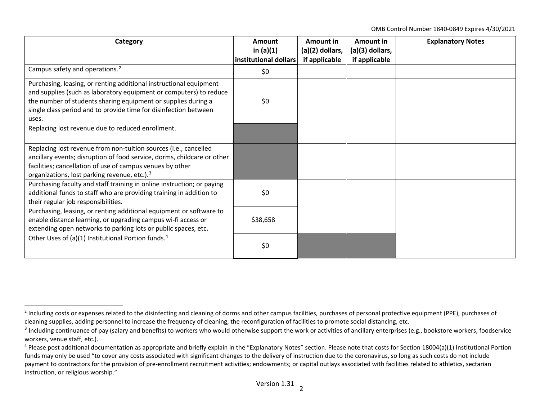<span id="page-1-2"></span><span id="page-1-1"></span><span id="page-1-0"></span>OMB Control Number 1840-0849 Expires 4/30/2021

| Category                                                                                                                                                                                                                                                                               | Amount<br>in $(a)(1)$<br>institutional dollars | Amount in<br>$(a)(2)$ dollars,<br>if applicable | Amount in<br>(a)(3) dollars,<br>if applicable | <b>Explanatory Notes</b> |
|----------------------------------------------------------------------------------------------------------------------------------------------------------------------------------------------------------------------------------------------------------------------------------------|------------------------------------------------|-------------------------------------------------|-----------------------------------------------|--------------------------|
| Campus safety and operations. <sup>2</sup>                                                                                                                                                                                                                                             | \$0                                            |                                                 |                                               |                          |
| Purchasing, leasing, or renting additional instructional equipment<br>and supplies (such as laboratory equipment or computers) to reduce<br>the number of students sharing equipment or supplies during a<br>single class period and to provide time for disinfection between<br>uses. | \$0                                            |                                                 |                                               |                          |
| Replacing lost revenue due to reduced enrollment.                                                                                                                                                                                                                                      |                                                |                                                 |                                               |                          |
| Replacing lost revenue from non-tuition sources (i.e., cancelled<br>ancillary events; disruption of food service, dorms, childcare or other<br>facilities; cancellation of use of campus venues by other<br>organizations, lost parking revenue, etc.). <sup>3</sup>                   |                                                |                                                 |                                               |                          |
| Purchasing faculty and staff training in online instruction; or paying<br>additional funds to staff who are providing training in addition to<br>their regular job responsibilities.                                                                                                   | \$0                                            |                                                 |                                               |                          |
| Purchasing, leasing, or renting additional equipment or software to<br>enable distance learning, or upgrading campus wi-fi access or<br>extending open networks to parking lots or public spaces, etc.                                                                                 | \$38,658                                       |                                                 |                                               |                          |
| Other Uses of (a)(1) Institutional Portion funds. <sup>4</sup>                                                                                                                                                                                                                         | \$0                                            |                                                 |                                               |                          |

 $<sup>2</sup>$  Including costs or expenses related to the disinfecting and cleaning of dorms and other campus facilities, purchases of personal protective equipment (PPE), purchases of</sup> cleaning supplies, adding personnel to increase the frequency of cleaning, the reconfiguration of facilities to promote social distancing, etc.

<sup>&</sup>lt;sup>3</sup> Including continuance of pay (salary and benefits) to workers who would otherwise support the work or activities of ancillary enterprises (e.g., bookstore workers, foodservice workers, venue staff, etc.).

 $4$  Please post additional documentation as appropriate and briefly explain in the "Explanatory Notes" section. Please note that costs for Section 18004(a)(1) Institutional Portion funds may only be used "to cover any costs associated with significant changes to the delivery of instruction due to the coronavirus, so long as such costs do not include payment to contractors for the provision of pre-enrollment recruitment activities; endowments; or capital outlays associated with facilities related to athletics, sectarian instruction, or religious worship."